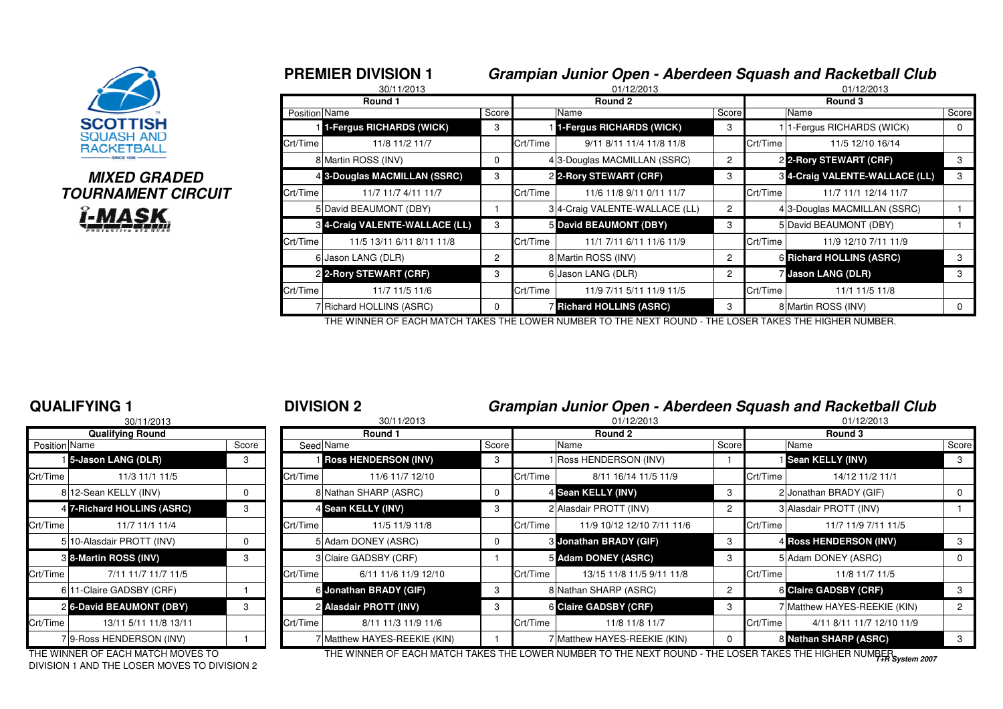

## **MIXED GRADEDTOURNAMENT CIRCUITi-MASK**

|              |                      | <b>PREMIER DIVISION 1</b><br>30/11/2013 | Grampian Junior Open - Aberdeen Squash and Racketball Club<br>01/12/2013<br>01/12/2013 |          |                                 |         |          |                                 |             |  |  |
|--------------|----------------------|-----------------------------------------|----------------------------------------------------------------------------------------|----------|---------------------------------|---------|----------|---------------------------------|-------------|--|--|
|              |                      | Round 1                                 |                                                                                        |          | Round 2                         | Round 3 |          |                                 |             |  |  |
|              | <b>Position Name</b> |                                         | Score                                                                                  |          | Name                            | Score   |          | Name                            | Score       |  |  |
|              |                      | 11-Fergus RICHARDS (WICK)               | 3                                                                                      |          | 1-Fergus RICHARDS (WICK)        | 3       |          | 1-Fergus RICHARDS (WICK)        | $\mathbf 0$ |  |  |
|              | Crt/Time             | 11/8 11/2 11/7                          |                                                                                        | Crt/Time | 9/11 8/11 11/4 11/8 11/8        |         | Crt/Time | 11/5 12/10 16/14                |             |  |  |
|              |                      | 8 Martin ROSS (INV)                     | 0                                                                                      |          | 4 3-Douglas MACMILLAN (SSRC)    | 2       |          | 2 2-Rory STEWART (CRF)          | 3           |  |  |
| D            |                      | 4 3-Douglas MACMILLAN (SSRC)            | 3                                                                                      |          | 2 2-Rory STEWART (CRF)          | 3       |          | 8 4-Craig VALENTE-WALLACE (LL)  | 3           |  |  |
| <b>?CUIT</b> | Crt/Time             | 11/7 11/7 4/11 11/7                     |                                                                                        | Crt/Time | 11/6 11/8 9/11 0/11 11/7        |         | Crt/Time | 11/7 11/1 12/14 11/7            |             |  |  |
|              |                      | 5 David BEAUMONT (DBY)                  |                                                                                        |          | 3 4-Craig VALENTE-WALLACE (LL)  | 2       |          | 43-Douglas MACMILLAN (SSRC)     |             |  |  |
|              |                      | 8 4-Craig VALENTE-WALLACE (LL)          | 3                                                                                      |          | 5 David BEAUMONT (DBY)          | 3       |          | 5 David BEAUMONT (DBY)          |             |  |  |
|              | Crt/Time             | 11/5 13/11 6/11 8/11 11/8               |                                                                                        | Crt/Time | 11/1 7/11 6/11 11/6 11/9        |         | Crt/Time | 11/9 12/10 7/11 11/9            |             |  |  |
|              |                      | 6 Jason LANG (DLR)                      | $\mathbf{2}^{\circ}$                                                                   |          | 8 Martin ROSS (INV)             | 2       |          | <b>6 Richard HOLLINS (ASRC)</b> | 3           |  |  |
|              |                      | 2 2-Rory STEWART (CRF)                  | 3                                                                                      |          | 6 Jason LANG (DLR)              | 2       |          | <b>Jason LANG (DLR)</b>         | 3           |  |  |
|              | Crt/Time             | 11/7 11/5 11/6                          |                                                                                        | Crt/Time | 11/9 7/11 5/11 11/9 11/5        |         | Crt/Time | 11/1 11/5 11/8                  |             |  |  |
|              |                      | 7 Richard HOLLINS (ASRC)                | 0                                                                                      |          | <b>7 Richard HOLLINS (ASRC)</b> | 3       |          | 8 Martin ROSS (INV)             | $\Omega$    |  |  |

THE WINNER OF EACH MATCH TAKES THE LOWER NUMBER TO THE NEXT ROUND - THE LOSER TAKES THE HIGHER NUMBER.

#### **QUALIFYING 1**

|               | 30/11/2013                   |       |           | 30/11/2013                    |  |  |  |  |
|---------------|------------------------------|-------|-----------|-------------------------------|--|--|--|--|
|               | <b>Qualifying Round</b>      |       |           | Round 1                       |  |  |  |  |
| Position Name |                              | Score | Seed Name |                               |  |  |  |  |
|               | 15-Jason LANG (DLR)          | 3     |           | <b>I Ross HENDERSON (INV)</b> |  |  |  |  |
| Crt/Time      | 11/3 11/1 11/5               |       | Crt/Time  | 11/6 11/7 12/10               |  |  |  |  |
|               | 812-Sean KELLY (INV)         | 0     |           | 8 Nathan SHARP (ASRC)         |  |  |  |  |
|               | 4 7-Richard HOLLINS (ASRC)   | 3     |           | 4 Sean KELLY (INV)            |  |  |  |  |
| Crt/Time      | 11/7 11/1 11/4               |       | Crt/Time  | 11/5 11/9 11/8                |  |  |  |  |
|               | 5 10-Alasdair PROTT (INV)    | 0     |           | 5 Adam DONEY (ASRC)           |  |  |  |  |
|               | <b>8 8-Martin ROSS (INV)</b> | 3     |           | 3 Claire GADSBY (CRF)         |  |  |  |  |
| Crt/Time      | 7/11 11/7 11/7 11/5          |       | Crt/Time  | 6/11 11/6 11/9 12/10          |  |  |  |  |
|               | 6 11-Claire GADSBY (CRF)     |       |           | 6 Jonathan BRADY (GIF)        |  |  |  |  |
|               | 26-David BEAUMONT (DBY)      | 3     |           | 2 Alasdair PROTT (INV)        |  |  |  |  |
| Crt/Time      | 13/11 5/11 11/8 13/11        |       | Crt/Time  | 8/11 11/3 11/9 11/6           |  |  |  |  |
|               | 79-Ross HENDERSON (INV)      |       |           | 7 Matthew HAYES-REEKIE (KIN)  |  |  |  |  |

|            | <b>DIVISION 2</b> | Grampian Junior Open - Aberdeen Squash and Racketball Club |            |
|------------|-------------------|------------------------------------------------------------|------------|
| 0.01110010 | 0.01110010        | 0.11000000                                                 | 0.11000000 |

|               | 30/11/2013                                                                        |          |          | 30/11/2013                  |       |          | 01/12/2013                                                                                            |                |          | 01/12/2013                   |                      |
|---------------|-----------------------------------------------------------------------------------|----------|----------|-----------------------------|-------|----------|-------------------------------------------------------------------------------------------------------|----------------|----------|------------------------------|----------------------|
|               | <b>Qualifying Round</b>                                                           |          |          | Round 1                     |       |          | Round 2                                                                                               |                |          | Round 3                      |                      |
| Position Name |                                                                                   | Score    |          | Seed Name                   | Score |          | Name                                                                                                  | Score          |          | Name                         | Score                |
|               | 5-Jason LANG (DLR)                                                                | 3        |          | <b>Ross HENDERSON (INV)</b> | 3     |          | Ross HENDERSON (INV)                                                                                  |                |          | Sean KELLY (INV)             | 3                    |
|               | 11/3 11/1 11/5                                                                    |          | Crt/Time | 11/6 11/7 12/10             |       | Crt/Time | 8/11 16/14 11/5 11/9                                                                                  |                | Crt/Time | 14/12 11/2 11/1              |                      |
|               | 812-Sean KELLY (INV)                                                              | 0        |          | 8 Nathan SHARP (ASRC)       |       |          | 4 Sean KELLY (INV)                                                                                    | 3              |          | 2 Jonathan BRADY (GIF)       | $\mathbf{0}$         |
|               | 4 7-Richard HOLLINS (ASRC)                                                        | 3        |          | 4 Sean KELLY (INV)          | 3     |          | 2 Alasdair PROTT (INV)                                                                                | 2              |          | 3 Alasdair PROTT (INV)       |                      |
| Crt/Time      | 11/7 11/1 11/4                                                                    |          | Crt/Time | 11/5 11/9 11/8              |       | Crt/Time | 11/9 10/12 12/10 7/11 11/6                                                                            |                | Crt/Time | 11/7 11/9 7/11 11/5          |                      |
|               | 5 10-Alasdair PROTT (INV)                                                         | $\Omega$ |          | 5 Adam DONEY (ASRC)         |       |          | <b>8 Jonathan BRADY (GIF)</b>                                                                         | 3              |          | 4 Ross HENDERSON (INV)       | 3                    |
|               | 3 8-Martin ROSS (INV)                                                             | 3        |          | 3 Claire GADSBY (CRF)       |       |          | 5 Adam DONEY (ASRC)                                                                                   | 3              |          | 5 Adam DONEY (ASRC)          | $\mathbf{0}$         |
| Crt/Time      | 7/11 11/7 11/7 11/5                                                               |          | Crt/Time | 6/11 11/6 11/9 12/10        |       | Crt/Time | 13/15 11/8 11/5 9/11 11/8                                                                             |                | Crt/Time | 11/8 11/7 11/5               |                      |
|               | 611-Claire GADSBY (CRF)                                                           |          |          | 6 Jonathan BRADY (GIF)      | 3     |          | 8 Nathan SHARP (ASRC)                                                                                 | $\overline{c}$ |          | <b>6 Claire GADSBY (CRF)</b> | 3                    |
|               | 2 6-David BEAUMONT (DBY)                                                          | 3        |          | 2 Alasdair PROTT (INV)      | 3     |          | <b>6 Claire GADSBY (CRF)</b>                                                                          | 3              |          | 7 Matthew HAYES-REEKIE (KIN) | $\mathbf{2}^{\circ}$ |
| Crt/Time      | 13/11 5/11 11/8 13/11                                                             |          | Crt/Time | 8/11 11/3 11/9 11/6         |       | Crt/Time | 11/8 11/8 11/7                                                                                        |                | Crt/Time | 4/11 8/11 11/7 12/10 11/9    |                      |
|               | 79-Ross HENDERSON (INV)                                                           |          |          | Matthew HAYES-REEKIE (KIN)  |       |          | Matthew HAYES-REEKIE (KIN)                                                                            | $\Omega$       |          | 8 Nathan SHARP (ASRC)        | 3                    |
|               | THE WINNER OF EACH MATCH MOVES TO<br>DIVISION 1 AND THE LOSER MOVES TO DIVISION 2 |          |          |                             |       |          | THE WINNER OF EACH MATCH TAKES THE LOWER NUMBER TO THE NEXT ROUND - THE LOSER TAKES THE HIGHER NUMBER |                |          |                              |                      |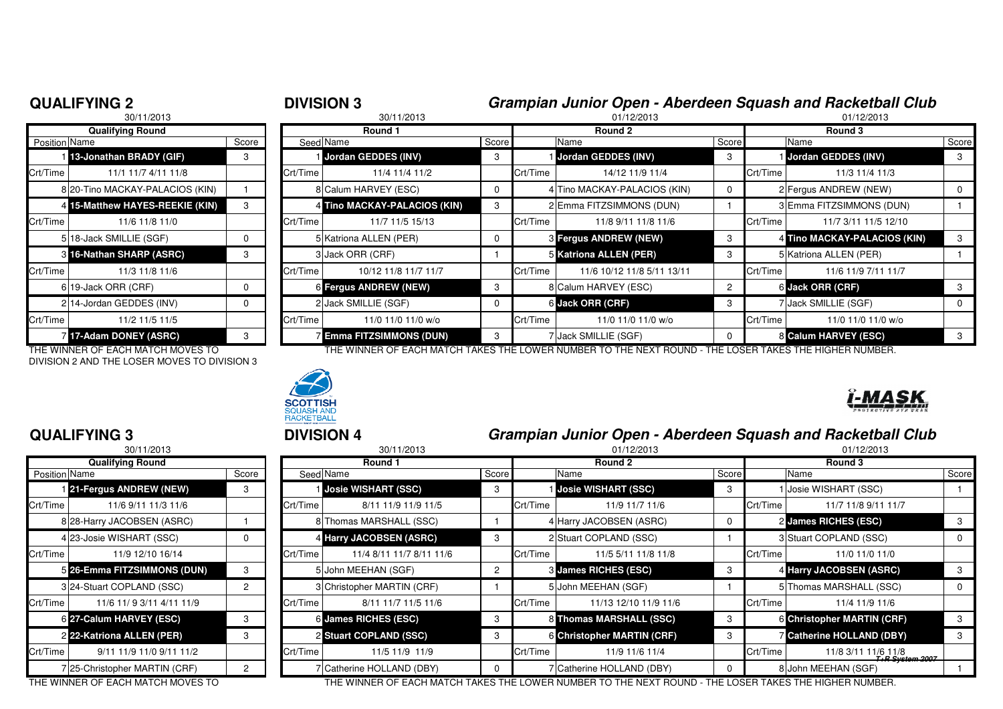| 30/11/2013           |                                 |          | 30/11/2013 |                                 |       |          | 01/12/2013                   |                |          | 01/12/2013                   |            |  |
|----------------------|---------------------------------|----------|------------|---------------------------------|-------|----------|------------------------------|----------------|----------|------------------------------|------------|--|
|                      | <b>Qualifying Round</b>         |          | Round 1    |                                 |       |          | Round 2                      |                |          | Round 3                      |            |  |
| <b>Position Name</b> |                                 | Score    |            | Seed Name                       | Score |          | Name                         | Score          |          | Name                         | <b>Sco</b> |  |
|                      | 13-Jonathan BRADY (GIF)         | 3        |            | Jordan GEDDES (INV)             | 3     |          | Jordan GEDDES (INV)          | 3              |          | Jordan GEDDES (INV)          |            |  |
| Crt/Time             | 11/1 11/7 4/11 11/8             |          | Crt/Time   | 11/4 11/4 11/2                  |       | Crt/Time | 14/12 11/9 11/4              |                | Crt/Time | 11/3 11/4 11/3               |            |  |
|                      | 8 20-Tino MACKAY-PALACIOS (KIN) |          |            | 8 Calum HARVEY (ESC)            |       |          | 4 Tino MACKAY-PALACIOS (KIN) | $\mathbf 0$    |          | 2 Fergus ANDREW (NEW)        |            |  |
|                      | 4 15-Matthew HAYES-REEKIE (KIN) | 3        |            | 4 Tino MACKAY-PALACIOS (KIN)    | 3     |          | 2 Emma FITZSIMMONS (DUN)     |                |          | 3 Emma FITZSIMMONS (DUN)     |            |  |
| Crt/Time             | 11/6 11/8 11/0                  |          | Crt/Time   | 11/7 11/5 15/13                 |       | Crt/Time | 11/8 9/11 11/8 11/6          |                | Crt/Time | 11/7 3/11 11/5 12/10         |            |  |
|                      | 518-Jack SMILLIE (SGF)          | $\Omega$ |            | 5 Katriona ALLEN (PER)          |       |          | <b>8 Fergus ANDREW (NEW)</b> | 3              |          | 4 Tino MACKAY-PALACIOS (KIN) |            |  |
|                      | 3 16-Nathan SHARP (ASRC)        | 3        |            | 3 Jack ORR (CRF)                |       |          | 5 Katriona ALLEN (PER)       | 3              |          | 5 Katriona ALLEN (PER)       |            |  |
| Crt/Time             | 11/3 11/8 11/6                  |          | Crt/Time   | 10/12 11/8 11/7 11/7            |       | Crt/Time | 11/6 10/12 11/8 5/11 13/11   |                | Crt/Time | 11/6 11/9 7/11 11/7          |            |  |
|                      | 619-Jack ORR (CRF)              | $\Omega$ |            | <b>6 Fergus ANDREW (NEW)</b>    | 3     |          | 8 Calum HARVEY (ESC)         | $\overline{2}$ |          | 6 Jack ORR (CRF)             |            |  |
|                      | 214-Jordan GEDDES (INV)         | 0        |            | 2 Jack SMILLIE (SGF)            | 0     |          | 6 Jack ORR (CRF)             | 3              |          | 7 Jack SMILLIE (SGF)         |            |  |
| Crt/Time             | 11/2 11/5 11/5                  |          | Crt/Time   | 11/0 11/0 11/0 w/o              |       | Crt/Time | 11/0 11/0 11/0 w/o           |                | Crt/Time | 11/0 11/0 11/0 w/o           |            |  |
|                      | 17-Adam DONEY (ASRC)            | 3        |            | <b>7 Emma FITZSIMMONS (DUN)</b> | 3     |          | 7 Jack SMILLIE (SGF)         | $\Omega$       |          | 8 Calum HARVEY (ESC)         |            |  |

DIVISION 2 AND THE LOSER MOVES TO DIVISION 3



### **QUALIFYING 3**

|                      | 30/11/2013                    |       |                |
|----------------------|-------------------------------|-------|----------------|
|                      | <b>Qualifying Round</b>       |       |                |
| <b>Position Name</b> |                               | Score | Seed           |
|                      | 21-Fergus ANDREW (NEW)        | 3     |                |
| Crt/Time             | 11/6 9/11 11/3 11/6           |       | Crt/Time       |
|                      | 8 28-Harry JACOBSEN (ASRC)    |       | 8              |
|                      | 4 23-Josie WISHART (SSC)      | 0     | 4              |
| Crt/Time             | 11/9 12/10 16/14              |       | Crt/Time       |
|                      | 5 26-Emma FITZSIMMONS (DUN)   | 3     | 5              |
|                      | 3 24-Stuart COPLAND (SSC)     | 2     | 3              |
| Crt/Time             | 11/6 11/ 9 3/11 4/11 11/9     |       | Crt/Time       |
|                      | 6 27-Calum HARVEY (ESC)       | 3     | 6              |
|                      | 22-Katriona ALLEN (PER)       | 3     | $\overline{c}$ |
| Crt/Time             | 9/11 11/9 11/0 9/11 11/2      |       | Crt/Time       |
|                      | 7 25-Christopher MARTIN (CRF) | 2     |                |

#### **Round 1 Round 2 Round 3** n Name Score Seed Name Seed Name Score Name Name Score Name Score Name Score Name Score Name Score **13-Jonathan BRADY (GIF)** <sup>3</sup> <sup>1</sup> **Jordan GEDDES (INV)** <sup>3</sup> <sup>1</sup> **Jordan GEDDES (INV)** <sup>3</sup> <sup>1</sup> **Jordan GEDDES (INV)** <sup>3</sup> Crt/Time 11/1 11/7 4/11 11/8 Crt/Time 11/4 11/4 11/2 Crt/Time 14/12 11/9 11/4 Crt/Time 11/3 11/4 11/38 Calum HARVEY (ESC) 0 4 Tino MACKAY-PALACIOS (KIN)  $\begin{vmatrix} 0 & 2 \end{vmatrix}$  2 Fergus ANDREW (NEW)  $\begin{vmatrix} 0 & 0 \end{vmatrix}$ 4 **Tino MACKAY-PALACIOS (KIN)** 3 2 Emma FITZSIMMONS (DUN) 1 3 Emma FITZSIMMONS (DUN) 1 Crt/Time 11/6 11/8 11/0 Crt/Time 11/7 11/5 15/13 Crt/Time 11/8 9/11 11/8 11/6 Crt/Time 11/7 3/11 11/5 12/105 Katriona ALLEN (PER) 0 3 | 0 **Fergus ANDREW (NEW)** 3 **Tino MACKAY-PALACIOS (KIN)** 3 **16-Nathan SHARP (ASRC)** <sup>3</sup> <sup>3</sup> Jack ORR (CRF) <sup>1</sup> <sup>5</sup> **Katriona ALLEN (PER)** <sup>3</sup> <sup>5</sup> Katriona ALLEN (PER) <sup>1</sup> Crt/Time 11/3 11/8 11/6 Crt/Time 10/12 11/8 11/7 11/7 Crt/Time 11/6 10/12 11/8 5/11 13/11 Crt/Time 11/6 11/9 7/11 11/7**Fergus ANDREW (NEW)** <sup>3</sup> <sup>8</sup> Calum HARVEY (ESC) <sup>2</sup> <sup>6</sup> **Jack ORR (CRF)** <sup>3</sup>

THE WINNER OF EACH MATCH MOVES TO THE WINNER OF EACH MATCH TAKES THE LOWER NUMBER TO THE NEXT ROUND - THE LOSER TAKES THE HIGHER NUMBER.



### <sup>3</sup> **DIVISION 4 Grampian Junior Open - Aberdeen Squash and Racketball Club**

|                       | 30/11/2013                        |                |          | 30/11/2013                 |                      |          | 01/12/2013                                                                                           |       | 01/12/2013 |                                        |             |  |
|-----------------------|-----------------------------------|----------------|----------|----------------------------|----------------------|----------|------------------------------------------------------------------------------------------------------|-------|------------|----------------------------------------|-------------|--|
|                       | <b>Qualifying Round</b>           |                | Round 1  |                            |                      |          | Round 2                                                                                              |       |            | Round 3                                |             |  |
|                       | Position Name<br>Score            |                |          | Seed Name                  | Score                |          | Name                                                                                                 | Score |            | Name                                   | Score       |  |
|                       | 21-Fergus ANDREW (NEW)            | З              |          | Josie WISHART (SSC)        |                      |          | Josie WISHART (SSC)                                                                                  |       |            | Josie WISHART (SSC)                    |             |  |
| Crt/Time              | 11/6 9/11 11/3 11/6               |                | Crt/Time | 8/11 11/9 11/9 11/5        |                      | Crt/Time | 11/9 11/7 11/6                                                                                       |       | Crt/Time   | 11/7 11/8 9/11 11/7                    |             |  |
|                       | 8 28-Harry JACOBSEN (ASRC)        |                |          | 8 Thomas MARSHALL (SSC)    |                      |          | 4 Harry JACOBSEN (ASRC)                                                                              |       |            | 2 James RICHES (ESC)                   | 3           |  |
|                       | 4 23-Josie WISHART (SSC)          | 0              |          | 4 Harry JACOBSEN (ASRC)    | 3                    |          | 2 Stuart COPLAND (SSC)                                                                               |       |            | 3 Stuart COPLAND (SSC)                 | $\mathbf 0$ |  |
| Crt/Time <sup>l</sup> | 11/9 12/10 16/14                  |                | Crt/Time | 11/4 8/11 11/7 8/11 11/6   |                      | Crt/Time | 11/5 5/11 11/8 11/8                                                                                  |       | Crt/Time   | 11/0 11/0 11/0                         |             |  |
|                       | 5 26-Emma FITZSIMMONS (DUN)       | 3              |          | 5 John MEEHAN (SGF)        | $\mathbf{2}^{\circ}$ |          | 3 James RICHES (ESC)                                                                                 | 3     |            | 4 Harry JACOBSEN (ASRC)                | 3           |  |
|                       | 324-Stuart COPLAND (SSC)          | $\overline{2}$ |          | 3 Christopher MARTIN (CRF) |                      |          | 5 John MEEHAN (SGF)                                                                                  |       |            | 5 Thomas MARSHALL (SSC)                | 0           |  |
| Crt/Time              | 11/6 11/ 9 3/11 4/11 11/9         |                | Crt/Time | 8/11 11/7 11/5 11/6        |                      | Crt/Time | 11/13 12/10 11/9 11/6                                                                                |       | Crt/Time   | 11/4 11/9 11/6                         |             |  |
|                       | 6 27-Calum HARVEY (ESC)           | 3              |          | 6 James RICHES (ESC)       | 3                    |          | 8 Thomas MARSHALL (SSC)                                                                              | 3     |            | <b>6 Christopher MARTIN (CRF)</b>      | 3           |  |
|                       | 2 22-Katriona ALLEN (PER)         | 3              |          | 2 Stuart COPLAND (SSC)     |                      |          | 6 Christopher MARTIN (CRF)                                                                           | 3     |            | <b>Catherine HOLLAND (DBY)</b>         | 3           |  |
| Crt/Time              | 9/11 11/9 11/0 9/11 11/2          |                | Crt/Time | 11/5 11/9 11/9             |                      | Crt/Time | 11/9 11/6 11/4                                                                                       |       | Crt/Time   | 11/8 3/11 11/6 11/8<br>T+R System 2007 |             |  |
|                       | 7 25-Christopher MARTIN (CRF)     | 2              |          | 7 Catherine HOLLAND (DBY)  |                      |          | 7 Catherine HOLLAND (DBY)                                                                            |       |            | 8 John MEEHAN (SGF)                    |             |  |
|                       | THE WINNER OF FAQUIMATOU MOVES TO |                |          |                            |                      |          | THE WINNER OF EACH MATCH TAKES THE LOWER NUMBER TO THE NEVT ROUND. THE LOSER TAKES THE HIGHER NUMBER |       |            |                                        |             |  |

THE WINNER OF EACH MATCH MOVES TO THE WINNER OF EACH MATCH TAKES THE LOWER NUMBER TO THE NEXT ROUND - THE LOSER TAKES THE HIGHER NUMBER.

| <b>QUALIFYING 2</b> |  |
|---------------------|--|
|                     |  |

## <sup>2</sup> **DIVISION 3 Grampian Junior Open - Aberdeen Squash and Racketball Club**

| MA.                         | Κ,   |
|-----------------------------|------|
|                             |      |
| <b><i>MUTROTIVE ZTE</i></b> | 7788 |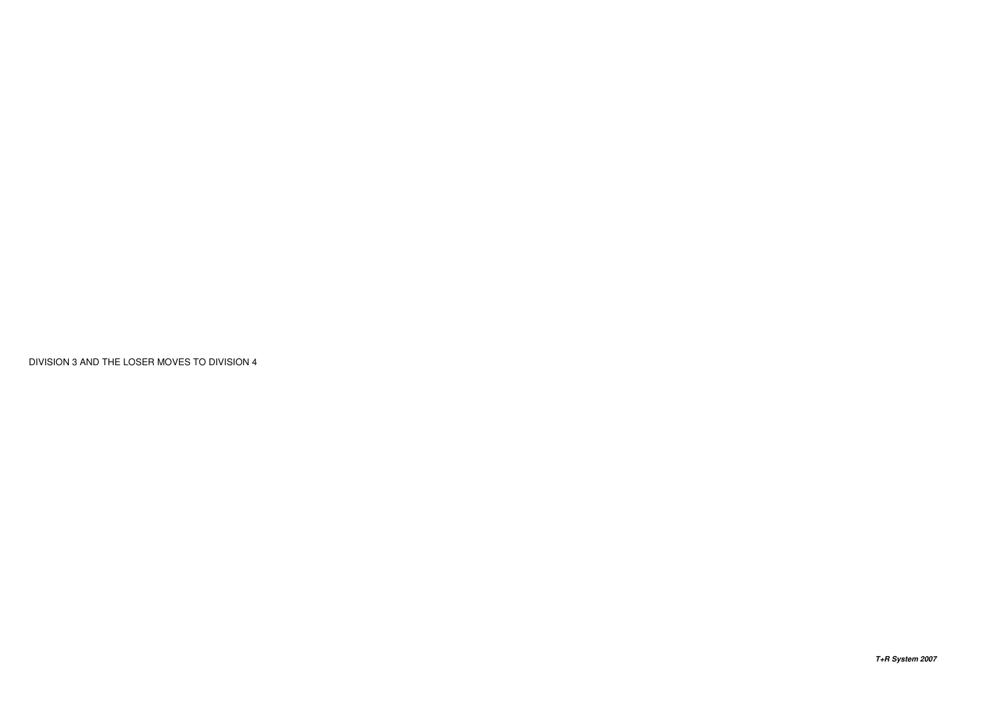DIVISION 3 AND THE LOSER MOVES TO DIVISION 4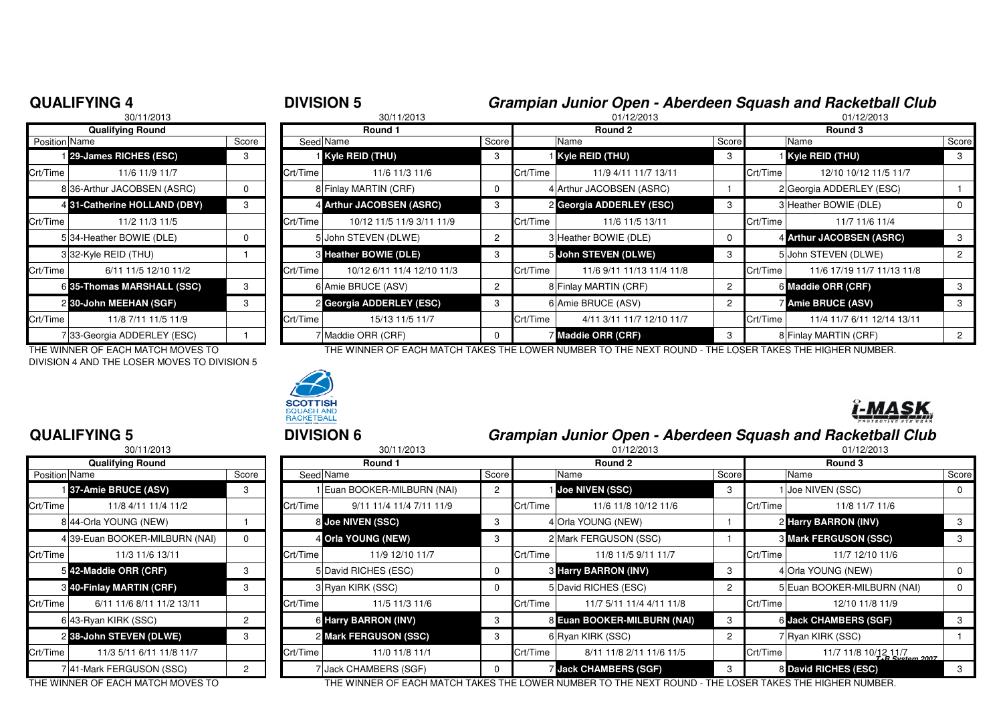|                      | 30/11/2013                   |       |                |       |
|----------------------|------------------------------|-------|----------------|-------|
|                      | <b>Qualifying Round</b>      |       |                |       |
| <b>Position Name</b> |                              | Score | Seed Na        |       |
|                      | 29-James RICHES (ESC)        | 3     |                | Ky    |
| Crt/Time             | 11/6 11/9 11/7               |       | Crt/Time       |       |
|                      | 8 36-Arthur JACOBSEN (ASRC)  | 0     |                | 8 Fir |
|                      | 4.31-Catherine HOLLAND (DBY) | 3     |                | Ar    |
| Crt/Time             | 11/2 11/3 11/5               |       | Crt/Time       |       |
|                      | 5 34-Heather BOWIE (DLE)     | 0     | 5              | Jo    |
|                      | 332-Kyle REID (THU)          | 1     |                | 3He   |
| Crt/Time             | 6/11 11/5 12/10 11/2         |       | Crt/Time       |       |
|                      | 6 35-Thomas MARSHALL (SSC)   | 3     |                | 6 An  |
|                      | 2 30-John MEEHAN (SGF)       | 3     | $\overline{2}$ | Ge    |
| Crt/Time             | 11/8 7/11 11/5 11/9          |       | Crt/Time       |       |
|                      | 7 33-Georgia ADDERLEY (ESC)  |       |                | Mε    |

#### **QUALIFYING 4**

### <sup>4</sup> **DIVISION 5 Grampian Junior Open - Aberdeen Squash and Racketball Club**

| 30/11/2013    |                                   |       | 30/11/2013 |                            |       |          | 01/12/2013                                                                                                 |       |          | 01/12/2013                 |       |  |
|---------------|-----------------------------------|-------|------------|----------------------------|-------|----------|------------------------------------------------------------------------------------------------------------|-------|----------|----------------------------|-------|--|
|               | <b>Qualifying Round</b>           |       | Round 1    |                            |       |          | Round 2                                                                                                    |       |          | Round 3                    |       |  |
| Position Name |                                   | Score |            | Seed Name                  | Score |          | Name                                                                                                       | Score |          | Name                       | Score |  |
|               | 129-James RICHES (ESC)            | 3     |            | Kyle REID (THU)            | 3     |          | <b>Kyle REID (THU)</b>                                                                                     |       |          | <b>i</b> Kyle REID (THU)   | 3     |  |
| Crt/Time      | 11/6 11/9 11/7                    |       | Crt/Time   | 11/6 11/3 11/6             |       | Crt/Time | 11/9 4/11 11/7 13/11                                                                                       |       | Crt/Time | 12/10 10/12 11/5 11/7      |       |  |
|               | 836-Arthur JACOBSEN (ASRC)        | O.    |            | 8 Finlay MARTIN (CRF)      |       |          | 4 Arthur JACOBSEN (ASRC)                                                                                   |       |          | 2 Georgia ADDERLEY (ESC)   |       |  |
|               | 4 31-Catherine HOLLAND (DBY)      |       |            | 4 Arthur JACOBSEN (ASRC)   | 3     |          | 2 Georgia ADDERLEY (ESC)                                                                                   |       |          | 3 Heather BOWIE (DLE)      |       |  |
| Crt/Time      | 11/2 11/3 11/5                    |       | Crt/Time   | 10/12 11/5 11/9 3/11 11/9  |       | Crt/Time | 11/6 11/5 13/11                                                                                            |       | Crt/Time | 11/7 11/6 11/4             |       |  |
|               | 534-Heather BOWIE (DLE)           |       |            | 5 John STEVEN (DLWE)       |       |          | 3 Heather BOWIE (DLE)                                                                                      |       |          | 4 Arthur JACOBSEN (ASRC)   | 3     |  |
|               | 332-Kyle REID (THU)               |       |            | 3 Heather BOWIE (DLE)      | 3     |          | 5 John STEVEN (DLWE)                                                                                       |       |          | 5 John STEVEN (DLWE)       |       |  |
| Crt/Time      | 6/11 11/5 12/10 11/2              |       | Crt/Time   | 10/12 6/11 11/4 12/10 11/3 |       | Crt/Time | 11/6 9/11 11/13 11/4 11/8                                                                                  |       | Crt/Time | 11/6 17/19 11/7 11/13 11/8 |       |  |
|               | 6 35-Thomas MARSHALL (SSC)        | 3     |            | 6 Amie BRUCE (ASV)         |       |          | 8 Finlay MARTIN (CRF)                                                                                      |       |          | 6 Maddie ORR (CRF)         |       |  |
|               | 2 30-John MEEHAN (SGF)            | 3     |            | 2 Georgia ADDERLEY (ESC)   | 3     |          | 6 Amie BRUCE (ASV)                                                                                         |       |          | <b>Amie BRUCE (ASV)</b>    |       |  |
| Crt/Time      | 11/8 7/11 11/5 11/9               |       | Crt/Time   | 15/13 11/5 11/7            |       | Crt/Time | 4/11 3/11 11/7 12/10 11/7                                                                                  |       | Crt/Time | 11/4 11/7 6/11 12/14 13/11 |       |  |
|               | 733-Georgia ADDERLEY (ESC)        |       |            | 7 Maddie ORR (CRF)         |       |          | 7 Maddie ORR (CRF)                                                                                         | 3     |          | 8 Finlay MARTIN (CRF)      |       |  |
|               | THE WINNER OF EACH MATCH MOVES TO |       |            |                            |       |          | THE WINNER OF EACH MATCH TAKES THE LOWER NI IMRER TO THE NEYT ROLIND . THE LOSER TAKES THE HIGHER NI IMRER |       |          |                            |       |  |

THE WINNER OF EACH MATCH MOVES TO DIVISION 4 AND THE LOSER MOVES TO DIVISION 5



### <sup>5</sup> **DIVISION 6 Grampian Junior Open - Aberdeen Squash and Racketball Club**

| 30/11/2013                |                                                                                                                                                                                                                                                                                      | 30/11/2013 |                          |                                                                                                                                                                                                          |          | 01/12/2013               | 01/12/2013                                                                                                                                                                                              |         |                                           |                                                                                                                                                                                                                                                           |  |  |
|---------------------------|--------------------------------------------------------------------------------------------------------------------------------------------------------------------------------------------------------------------------------------------------------------------------------------|------------|--------------------------|----------------------------------------------------------------------------------------------------------------------------------------------------------------------------------------------------------|----------|--------------------------|---------------------------------------------------------------------------------------------------------------------------------------------------------------------------------------------------------|---------|-------------------------------------------|-----------------------------------------------------------------------------------------------------------------------------------------------------------------------------------------------------------------------------------------------------------|--|--|
| <b>Qualifying Round</b>   |                                                                                                                                                                                                                                                                                      |            | Round 1                  |                                                                                                                                                                                                          | Round 2  |                          |                                                                                                                                                                                                         | Round 3 |                                           |                                                                                                                                                                                                                                                           |  |  |
|                           | Score                                                                                                                                                                                                                                                                                |            |                          |                                                                                                                                                                                                          |          | Name                     |                                                                                                                                                                                                         |         | Name                                      | Score                                                                                                                                                                                                                                                     |  |  |
|                           | 3                                                                                                                                                                                                                                                                                    |            |                          |                                                                                                                                                                                                          |          |                          | 3                                                                                                                                                                                                       |         |                                           | $\mathbf{0}$                                                                                                                                                                                                                                              |  |  |
| 11/8 4/11 11/4 11/2       |                                                                                                                                                                                                                                                                                      | Crt/Time   | 9/11 11/4 11/4 7/11 11/9 |                                                                                                                                                                                                          | Crt/Time | 11/6 11/8 10/12 11/6     |                                                                                                                                                                                                         |         | 11/8 11/7 11/6                            |                                                                                                                                                                                                                                                           |  |  |
|                           |                                                                                                                                                                                                                                                                                      |            |                          |                                                                                                                                                                                                          |          |                          |                                                                                                                                                                                                         |         |                                           | 3                                                                                                                                                                                                                                                         |  |  |
|                           |                                                                                                                                                                                                                                                                                      |            |                          |                                                                                                                                                                                                          |          |                          |                                                                                                                                                                                                         |         |                                           | 3                                                                                                                                                                                                                                                         |  |  |
| 11/3 11/6 13/11           |                                                                                                                                                                                                                                                                                      | Crt/Time   | 11/9 12/10 11/7          |                                                                                                                                                                                                          | Crt/Time | 11/8 11/5 9/11 11/7      |                                                                                                                                                                                                         |         | 11/7 12/10 11/6                           |                                                                                                                                                                                                                                                           |  |  |
|                           |                                                                                                                                                                                                                                                                                      |            |                          |                                                                                                                                                                                                          |          |                          | 3                                                                                                                                                                                                       |         |                                           | 0                                                                                                                                                                                                                                                         |  |  |
|                           | 3                                                                                                                                                                                                                                                                                    |            |                          |                                                                                                                                                                                                          |          |                          | 2                                                                                                                                                                                                       |         |                                           | 0                                                                                                                                                                                                                                                         |  |  |
| 6/11 11/6 8/11 11/2 13/11 |                                                                                                                                                                                                                                                                                      | Crt/Time   | 11/5 11/3 11/6           |                                                                                                                                                                                                          | Crt/Time | 11/7 5/11 11/4 4/11 11/8 |                                                                                                                                                                                                         |         | 12/10 11/8 11/9                           |                                                                                                                                                                                                                                                           |  |  |
|                           | $\overline{2}$                                                                                                                                                                                                                                                                       |            |                          |                                                                                                                                                                                                          |          |                          | 3                                                                                                                                                                                                       |         |                                           | 3                                                                                                                                                                                                                                                         |  |  |
|                           | 3                                                                                                                                                                                                                                                                                    |            |                          |                                                                                                                                                                                                          |          |                          | $\mathbf{2}^{\circ}$                                                                                                                                                                                    |         |                                           |                                                                                                                                                                                                                                                           |  |  |
| 11/3 5/11 6/11 11/8 11/7  |                                                                                                                                                                                                                                                                                      | Crt/Time   | 11/0 11/8 11/1           |                                                                                                                                                                                                          | Crt/Time | 8/11 11/8 2/11 11/6 11/5 |                                                                                                                                                                                                         |         |                                           |                                                                                                                                                                                                                                                           |  |  |
|                           |                                                                                                                                                                                                                                                                                      |            |                          |                                                                                                                                                                                                          |          |                          | 3                                                                                                                                                                                                       |         |                                           | 3                                                                                                                                                                                                                                                         |  |  |
|                           | Position Name<br>137-Amie BRUCE (ASV)<br>Crt/Time<br>8 44-Orla YOUNG (NEW)<br>4 39-Euan BOOKER-MILBURN (NAI)<br>Crt/Time l<br>542-Maddie ORR (CRF)<br>3 40-Finlay MARTIN (CRF)<br>Crt/Time<br>6 43-Ryan KIRK (SSC)<br>2 38-John STEVEN (DLWE)<br>Crt/Time<br>741-Mark FERGUSON (SSC) |            |                          | Seed Name<br>I Euan BOOKER-MILBURN (NAI)<br>8 Joe NIVEN (SSC)<br>4 Orla YOUNG (NEW)<br>5 David RICHES (ESC)<br>3 Ryan KIRK (SSC)<br>6 Harry BARRON (INV)<br>2 Mark FERGUSON (SSC)<br>Jack CHAMBERS (SGF) |          | Score                    | Joe NIVEN (SSC)<br>4 Orla YOUNG (NEW)<br>2 Mark FERGUSON (SSC)<br><b>3 Harry BARRON (INV)</b><br>5 David RICHES (ESC)<br>8 Euan BOOKER-MILBURN (NAI)<br>6 Ryan KIRK (SSC)<br><b>Jack CHAMBERS (SGF)</b> |         | Score<br>Crt/Time<br>Crt/Time<br>Crt/Time | Joe NIVEN (SSC)<br>2 Harry BARRON (INV)<br><b>8 Mark FERGUSON (SSC)</b><br>4 Orla YOUNG (NEW)<br>5 Euan BOOKER-MILBURN (NAI)<br>6 Jack CHAMBERS (SGF)<br>7 Ryan KIRK (SSC)<br>Crt/Time<br>11/7 11/8 10/12 11/7<br>T+R System 2007<br>8 David RICHES (ESC) |  |  |

## **QUALIFYING 5**

|               | 30/11/2013                      |               |          |
|---------------|---------------------------------|---------------|----------|
|               | <b>Qualifying Round</b>         |               |          |
| Position Name |                                 | Score         | Seed     |
|               | 137-Amie BRUCE (ASV)            | 3             |          |
| Crt/Time      | 11/8 4/11 11/4 11/2             |               | Crt/Time |
|               | 8 44-Orla YOUNG (NEW)           |               | 8        |
|               | 4 39-Euan BOOKER-MILBURN (NAI)  | 0             | 4        |
| Crt/Time      | 11/3 11/6 13/11                 |               | Crt/Time |
|               | 542-Maddie ORR (CRF)            | 3             | 5        |
|               | <b>3 40-Finlay MARTIN (CRF)</b> | 3             | 3        |
| Crt/Time      | 6/11 11/6 8/11 11/2 13/11       |               | Crt/Time |
|               | 6.43-Ryan KIRK (SSC)            | $\mathcal{P}$ | 6        |
|               | 238-John STEVEN (DLWE)          | 3             | 2        |
| Crt/Time      | 11/3 5/11 6/11 11/8 11/7        |               | Crt/Time |
|               | 741-Mark FERGUSON (SSC)         | 2             | 7        |

THE WINNER OF EACH MATCH MOVES TO THE WINNER OF EACH MATCH TAKES THE LOWER NUMBER TO THE NEXT ROUND - THE LOSER TAKES THE HIGHER NUMBER.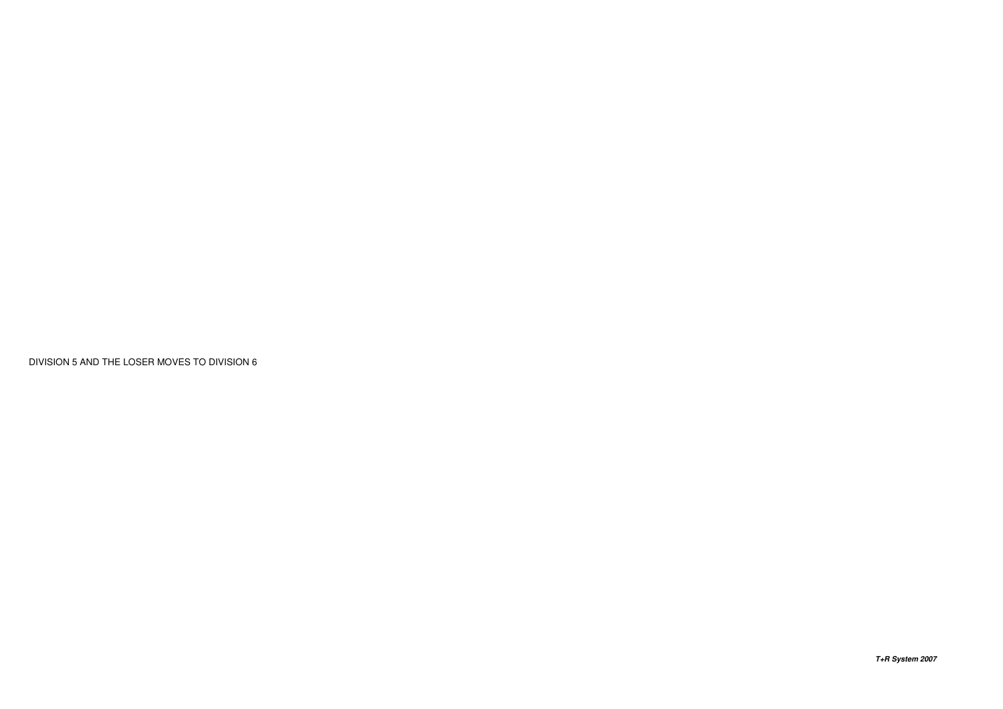DIVISION 5 AND THE LOSER MOVES TO DIVISION 6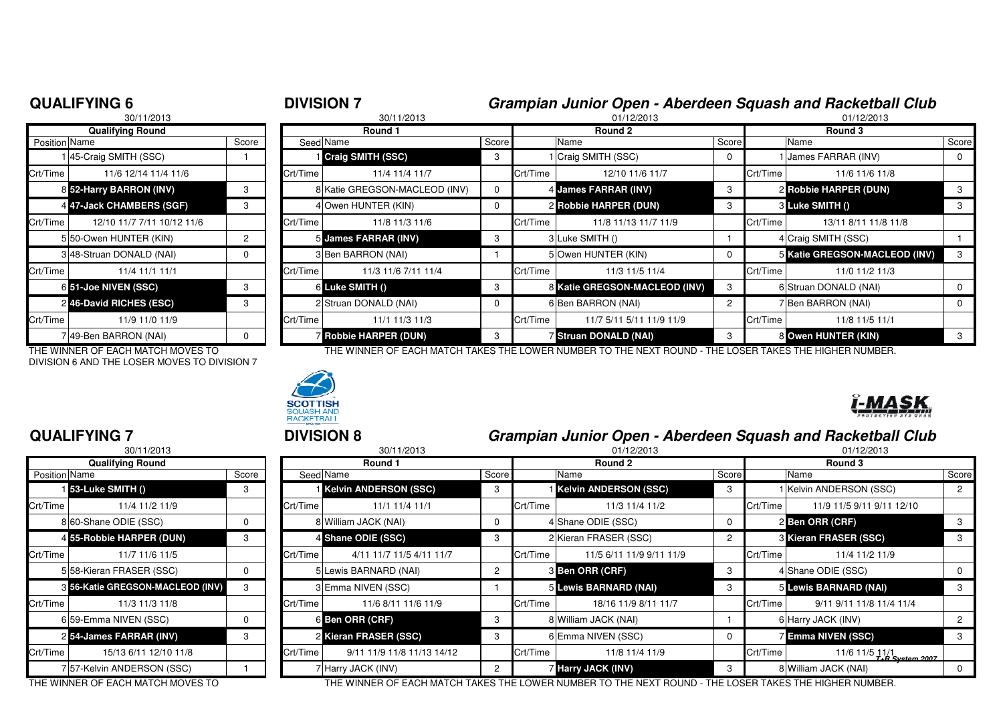|           | <b>DIVISION 7</b> | Grampian Junior Open - Aberdeen Squash and Racketball Club |            |
|-----------|-------------------|------------------------------------------------------------|------------|
| 0.1110010 | 0.01110010        | 0.11000000                                                 | 0.11000000 |

| 30/11/2013              |                            |       | 30/11/2013 |                               |       | 01/12/2013 |                               |                | 01/12/2013 |                               |       |
|-------------------------|----------------------------|-------|------------|-------------------------------|-------|------------|-------------------------------|----------------|------------|-------------------------------|-------|
| <b>Qualifying Round</b> |                            |       |            | Round 1                       |       |            | Round 2                       |                | Round 3    |                               |       |
| <b>Position Name</b>    |                            | Score |            | Seed Name                     | Score |            | Name                          | Score          |            | Name                          | Score |
|                         | 45-Craig SMITH (SSC)       |       |            | Craig SMITH (SSC)             | 3     |            | 1 Craig SMITH (SSC)           |                |            | James FARRAR (INV)            |       |
| Crt/Time                | 11/6 12/14 11/4 11/6       |       | Crt/Time   | 11/4 11/4 11/7                |       | Crt/Time   | 12/10 11/6 11/7               |                | Crt/Time   | 11/6 11/6 11/8                |       |
|                         | 8 52-Harry BARRON (INV)    |       |            | 8 Katie GREGSON-MACLEOD (INV) | 0     |            | 4 James FARRAR (INV)          | -3             |            | 2 Robbie HARPER (DUN)         |       |
|                         | 4 47-Jack CHAMBERS (SGF)   | 3     |            | 4 Owen HUNTER (KIN)           | 0     |            | 2 Robbie HARPER (DUN)         | 3              |            | 3 Luke SMITH ()               | 3     |
| Crt/Time                | 12/10 11/7 7/11 10/12 11/6 |       | Crt/Time   | 11/8 11/3 11/6                |       | Crt/Time   | 11/8 11/13 11/7 11/9          |                | Crt/Time   | 13/11 8/11 11/8 11/8          |       |
|                         | 5 50-Owen HUNTER (KIN)     | 2     |            | 5 James FARRAR (INV)          | 3     |            | 3 Luke SMITH ()               |                |            | 4 Craig SMITH (SSC)           |       |
|                         | 348-Struan DONALD (NAI)    |       |            | 3 Ben BARRON (NAI)            |       |            | 5 Owen HUNTER (KIN)           |                |            | 5 Katie GREGSON-MACLEOD (INV) |       |
| Crt/Time                | 11/4 11/1 11/1             |       | Crt/Time   | 11/3 11/6 7/11 11/4           |       | Crt/Time   | 11/3 11/5 11/4                |                | Crt/Time   | 11/0 11/2 11/3                |       |
|                         | 6 51-Joe NIVEN (SSC)       |       |            | 6 Luke SMITH ()               | 3     |            | 8 Katie GREGSON-MACLEOD (INV) | 3              |            | 6 Struan DONALD (NAI)         |       |
|                         | 2 46-David RICHES (ESC)    | З     |            | 2 Struan DONALD (NAI)         | 0     |            | 6 Ben BARRON (NAI)            | $\overline{2}$ |            | 7 Ben BARRON (NAI)            | 0     |
| Crt/Time                | 11/9 11/0 11/9             |       | Crt/Time   | 11/1 11/3 11/3                |       | Crt/Time   | 11/7 5/11 5/11 11/9 11/9      |                | Crt/Time   | 11/8 11/5 11/1                |       |
|                         | ' 49-Ben BARRON (NAI)      |       |            | <b>Z Robbie HARPER (DUN)</b>  |       |            | Struan DONALD (NAI)           |                |            | 8 Owen HUNTER (KIN)           |       |
|                         |                            |       |            |                               |       |            |                               |                |            |                               |       |

DIVISION 6 AND THE LOSER MOVES TO DIVISION 7



|  |  | PRSTROYIVE STE TEAN                                      |
|--|--|----------------------------------------------------------|
|  |  | ampian, lupiar Open, Aberdeen Squach and Peakathell Club |

**I-MASK** 

#### **QUALIFYING 7**

|               | 30/11/2013                       |       |                |
|---------------|----------------------------------|-------|----------------|
|               | <b>Qualifying Round</b>          |       |                |
| Position Name |                                  | Score | Seed           |
|               | 1 53-Luke SMITH ()               | 3     |                |
| Crt/Time      | 11/4 11/2 11/9                   |       | Crt/Time       |
|               | 8 60-Shane ODIE (SSC)            | 0     | 8              |
|               | 4 55-Robbie HARPER (DUN)         | 3     | 4              |
| Crt/Time      | 11/7 11/6 11/5                   |       | Crt/Time       |
|               | 5 58-Kieran FRASER (SSC)         | 0     | 5              |
|               | 8 56-Katie GREGSON-MACLEOD (INV) | 3     | 3              |
| Crt/Time      | 11/3 11/3 11/8                   |       | Crt/Time       |
|               | 6159-Emma NIVEN (SSC)            | 0     | 6              |
|               | 254-James FARRAR (INV)           | 3     | $\overline{c}$ |
| Crt/Time      | 15/13 6/11 12/10 11/8            |       | Crt/Time       |
|               | 7 57-Kelvin ANDERSON (SSC)       |       |                |

| <b>QUALIFYING 7</b>                | <b>DIVISION 8</b> |            |                                                                                                     | Grampian Junior Open - Aberdeen Squash and Racketball Club |            |                              |       |            |                                   |       |
|------------------------------------|-------------------|------------|-----------------------------------------------------------------------------------------------------|------------------------------------------------------------|------------|------------------------------|-------|------------|-----------------------------------|-------|
| 30/11/2013                         |                   | 30/11/2013 |                                                                                                     |                                                            | 01/12/2013 |                              |       | 01/12/2013 |                                   |       |
| <b>Qualifying Round</b>            |                   |            | Round 1                                                                                             |                                                            |            | Round 2                      |       |            | Round 3                           |       |
| Position Name                      | Score             |            | Seed Name                                                                                           | Score                                                      |            | Name                         | Score |            | Name                              | Score |
| 53-Luke SMITH ()                   | 3                 |            | <b>Kelvin ANDERSON (SSC)</b>                                                                        | -3                                                         |            | <b>Kelvin ANDERSON (SSC)</b> | 3     |            | I Kelvin ANDERSON (SSC)           |       |
| Crt/Time<br>11/4 11/2 11/9         |                   | Crt/Time   | 11/1 11/4 11/1                                                                                      |                                                            | Crt/Time   | 11/3 11/4 11/2               |       | Crt/Time   | 11/9 11/5 9/11 9/11 12/10         |       |
| 8 60-Shane ODIE (SSC)              |                   |            | 8 William JACK (NAI)                                                                                | $\Omega$                                                   |            | 4 Shane ODIE (SSC)           | 0     |            | 2 Ben ORR (CRF)                   |       |
| 4 55-Robbie HARPER (DUN)           | 3                 |            | 4 Shane ODIE (SSC)                                                                                  | 3                                                          |            | 2 Kieran FRASER (SSC)        |       |            | 3 Kieran FRASER (SSC)             |       |
| Crt/Time<br>11/7 11/6 11/5         |                   | Crt/Time   | 4/11 11/7 11/5 4/11 11/7                                                                            |                                                            | Crt/Time   | 11/5 6/11 11/9 9/11 11/9     |       | Crt/Time   | 11/4 11/2 11/9                    |       |
| 558-Kieran FRASER (SSC)            |                   |            | 5 Lewis BARNARD (NAI)                                                                               | $\overline{2}$                                             |            | <b>3 Ben ORR (CRF)</b>       | 3     |            | 4 Shane ODIE (SSC)                |       |
| 3 56-Katie GREGSON-MACLEOD (INV)   | 3                 |            | 3 Emma NIVEN (SSC)                                                                                  |                                                            |            | 5 Lewis BARNARD (NAI)        |       |            | 5 Lewis BARNARD (NAI)             |       |
| Crt/Time<br>11/3 11/3 11/8         |                   | Crt/Time   | 11/6 8/11 11/6 11/9                                                                                 |                                                            | Crt/Time   | 18/16 11/9 8/11 11/7         |       | Crt/Time   | 9/11 9/11 11/8 11/4 11/4          |       |
| 6 59-Emma NIVEN (SSC)              |                   |            | 6 Ben ORR (CRF)                                                                                     | 3                                                          |            | 8 William JACK (NAI)         |       |            | 6 Harry JACK (INV)                |       |
| 2 54-James FARRAR (INV)            |                   |            | 2 Kieran FRASER (SSC)                                                                               | 3                                                          |            | 6 Emma NIVEN (SSC)           |       |            | <b>Z</b> Emma NIVEN (SSC)         |       |
| Crt/Time<br>15/13 6/11 12/10 11/8  |                   | Crt/Time   | 9/11 11/9 11/8 11/13 14/12                                                                          |                                                            | Crt/Time   | 11/8 11/4 11/9               |       | Crt/Time   | 11/6 11/5 11/1<br>T+R System 2007 |       |
| 7 57-Kelvin ANDERSON (SSC)         |                   |            | 7 Harry JACK (INV)                                                                                  | $\mathcal{P}$                                              |            | 7 Harry JACK (INV)           | 3     |            | 8 William JACK (NAI)              |       |
| THE WINNIED OF FAQUIMATOU MOVED TO |                   |            | THE WINNER OF EAQU MATOU TAKE THE LOWER NUMBER TO THE NEVE ROUND. THE LOGER TAKES THE HIGHER NUMBER |                                                            |            |                              |       |            |                                   |       |

THE WINNER OF EACH MATCH MOVES TO THE WINNER OF EACH MATCH TAKES THE LOWER NUMBER TO THE NEXT ROUND - THE LOSER TAKES THE HIGHER NUMBER.

### **QUALIFYING 6**

THE WINNER OF EACH MATCH MOVES TO THE THE WINNER OF EACH MATCH TAKES THE LOWER NUMBER TO THE NEXT ROUND - THE LOSER TAKES THE HIGHER NUMBER.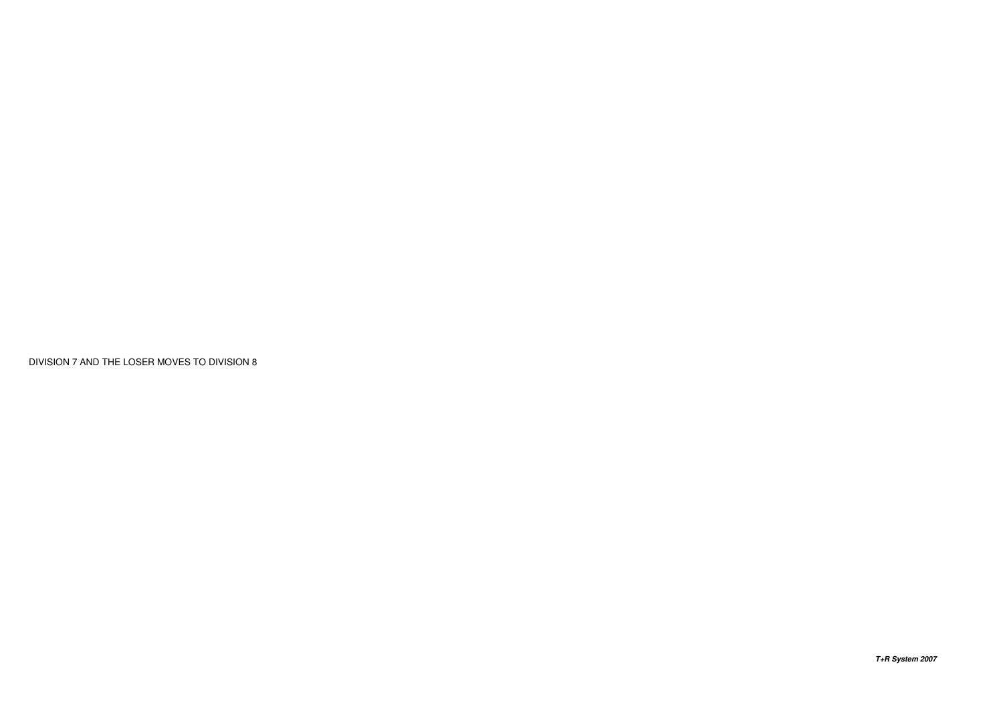DIVISION 7 AND THE LOSER MOVES TO DIVISION 8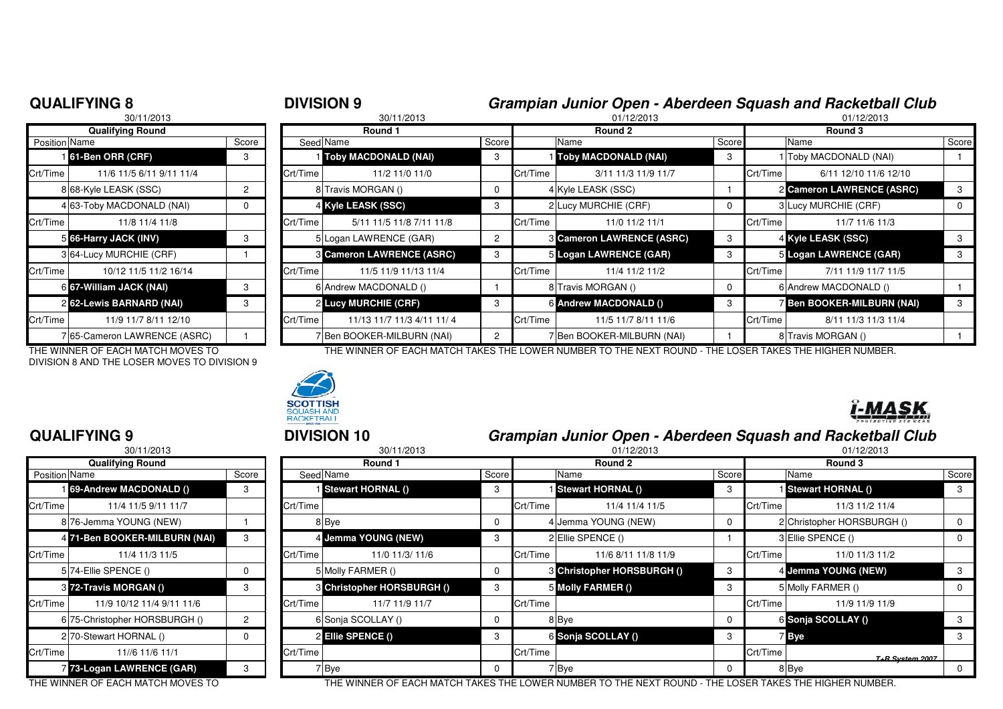# <sup>8</sup> **DIVISION 9 Grampian Junior Open - Aberdeen Squash and Racketball Club**

|                      | 30/11/2013                 |                |                |
|----------------------|----------------------------|----------------|----------------|
|                      | <b>Qualifying Round</b>    |                |                |
| <b>Position Name</b> |                            | Score          | Seed           |
|                      | 161-Ben ORR (CRF)          | 3              |                |
| Crt/Time             | 11/6 11/5 6/11 9/11 11/4   |                | Crt/Time       |
|                      | 8 68-Kyle LEASK (SSC)      | $\overline{c}$ | 8              |
|                      | 4 63-Toby MACDONALD (NAI)  | $\Omega$       | 4              |
| Crt/Time             | 11/8 11/4 11/8             |                | Crt/Time       |
|                      | 5 66-Harry JACK (INV)      | 3              | 5              |
|                      | 3 64-Lucy MURCHIE (CRF)    |                | 3              |
| Crt/Time             | 10/12 11/5 11/2 16/14      |                | Crt/Time       |
|                      | 6 67-William JACK (NAI)    | 3              | 6              |
|                      | 262-Lewis BARNARD (NAI)    | 3              | $\overline{c}$ |
| Crt/Time             | 11/9 11/7 8/11 12/10       |                | Crt/Time       |
| 71                   | 65-Cameron LAWRENCE (ASRC) |                | 7              |

DIVISION 8 AND THE LOSER MOVES TO DIVISION 9

 <sup>8</sup> 30/11/2013 01/12/2013 01/12/2013 **Round 1 Round 2 Round 3** n Name Score Seed Name Seed Name Score Name Score Name Score Name Score Name Score Score Name Score **61-Ben ORR (CRF)** <sup>3</sup> <sup>1</sup> **Toby MACDONALD (NAI)** <sup>3</sup> <sup>1</sup> **Toby MACDONALD (NAI)** <sup>3</sup> <sup>1</sup> Toby MACDONALD (NAI) <sup>1</sup> Crt/Time 11/6 11/5 6/11 9/11 11/4 Crt/Time 11/2 11/0 11/0 Crt/Time 3/11 11/3 11/9 11/7 Crt/Time 6/11 12/10 11/6 12/108 Travis MORGAN () 2 8 RV 2 4 Kyle LEASK (SSC) **2 Cameron LAWRENCE (ASRC)** 3 **4 Kyle LEASK (SSC)** 3 3 3 3 3 3 3 4 4 **S** 2 Lucy MURCHIE (CRF) 3 3 3 3 4 5 3 Lucy MURCHIE (CRF) 4 5 4 6 2 2 2 D Crt/Time | 11/8 11/4 11/8 Crt/Time | 5/11 11/8 7/11 11/8 Crt/Time | 11/0 11/2 11/1 11/7 11/6 11/3 **6** Logan LAWRENCE (GAR) 2 3 Cameron LAWRENCE (ASRC) 3 4 Kyle LEASK (SSC) 3 3 **Cameron LAWRENCE (ASRC)** <sup>3</sup> <sup>5</sup> **Logan LAWRENCE (GAR)** <sup>3</sup> <sup>5</sup> **Logan LAWRENCE (GAR)** <sup>3</sup> Crt/Time 10/12 11/5 11/2 16/14 Crt/Time 11/5 11/9 11/13 11/4 Crt/Time 11/4 11/2 11/2 Crt/Time 7/11 11/9 11/7 11/5**6 67-William JACK (NAI)** 3 6 Andrew MACDONALD () 3 8 Travis MORGAN () 8 GAndrew MACDONALD () 1 1 **Lucy MURCHIE (CRF)** <sup>3</sup> <sup>6</sup> **Andrew MACDONALD ()** <sup>3</sup> <sup>7</sup> **Ben BOOKER-MILBURN (NAI)** <sup>3</sup> Crt/Time 11/13 11/7 11/3 4/11 11/4 Crt/Time 11/5 11/7 8/11 11/6 Crt/Time 8/11 11/3 11/4 Crt/Time 8/11 11/3 11/4 7 Ben BOOKER-MILBURN (NAI) 2 7 Ben BOOKER-MILBURN (NAI) 1 8 Travis MORGAN () 1 1

THE WINNER OF EACH MATCH MOVES TO THE WINNER OF EACH MATCH TAKES THE LOWER NUMBER TO THE NEXT ROUND - THE LOSER TAKES THE HIGHER NUMBER.



#### **QUALIFYING 9**

|               | 30/11/2013                     |          |          |        |
|---------------|--------------------------------|----------|----------|--------|
|               | <b>Qualifying Round</b>        |          |          |        |
| Position Name |                                | Score    | Seed Nar |        |
|               | <b>169-Andrew MACDONALD ()</b> | 3        |          | il Ste |
| Crt/Time      | 11/4 11/5 9/11 11/7            |          | Crt/Time |        |
|               | 8 76-Jemma YOUNG (NEW)         |          |          | 8 Bye  |
|               | 4 71-Ben BOOKER-MILBURN (NAI)  | 3        |          | 4 Jen  |
| Crt/Time      | 11/4 11/3 11/5                 |          | Crt/Time |        |
|               | 5 74-Ellie SPENCE ()           | $\Omega$ |          | 5 Mol  |
|               | 3 72-Travis MORGAN ()          | 3        |          | 3 Chr  |
| Crt/Time      | 11/9 10/12 11/4 9/11 11/6      |          | Crt/Time |        |
|               | 6 75-Christopher HORSBURGH ()  | 2        | 61       | Sor    |
|               | 2/70-Stewart HORNAL ()         | $\Omega$ |          | 2 Ellt |
| Crt/Time      | 11//6 11/6 11/1                |          | Crt/Time |        |
|               | 73-Logan LAWRENCE (GAR)        | 3        |          | Bye    |

## <sup>9</sup> **DIVISION 10 Grampian Junior Open - Aberdeen Squash and Racketball Club**

| 30/11/2013              |                                   |       | 30/11/2013 |                            |       | 01/12/2013 |                                                                     |         | 01/12/2013 |                                       |             |
|-------------------------|-----------------------------------|-------|------------|----------------------------|-------|------------|---------------------------------------------------------------------|---------|------------|---------------------------------------|-------------|
| <b>Qualifying Round</b> |                                   |       | Round 1    |                            |       | Round 2    |                                                                     | Round 3 |            |                                       |             |
| Position Name           |                                   | Score |            | Seed Name                  | Score |            | Name                                                                | Score   |            | Name                                  | Score       |
|                         | <b>69-Andrew MACDONALD ()</b>     | 3     |            | Stewart HORNAL ()          |       |            | Stewart HORNAL ()                                                   | 3       |            | Stewart HORNAL ()                     | 3           |
| Crt/Time                | 11/4 11/5 9/11 11/7               |       | Crt/Time   |                            |       | Crt/Time   | 11/4 11/4 11/5                                                      |         | Crt/Time   | 11/3 11/2 11/4                        |             |
|                         | 8/76-Jemma YOUNG (NEW)            |       |            | 8 Bye                      |       |            | 4 Jemma YOUNG (NEW)                                                 | 0       |            | 2 Christopher HORSBURGH ()            | $\mathbf 0$ |
|                         | 4 71-Ben BOOKER-MILBURN (NAI)     | 3     |            | 4 Jemma YOUNG (NEW)        |       |            | 2 Ellie SPENCE ()                                                   |         |            | 3 Ellie SPENCE ()                     | 0           |
| Crt/Time                | 11/4 11/3 11/5                    |       | Crt/Time   | 11/0 11/3/ 11/6            |       | Crt/Time   | 11/6 8/11 11/8 11/9                                                 |         | Crt/Time   | 11/0 11/3 11/2                        |             |
|                         | 5 74-Ellie SPENCE ()              | 0     |            | 5 Molly FARMER ()          |       |            | 8 Christopher HORSBURGH ()                                          | 3       |            | 4 Jemma YOUNG (NEW)                   | -3          |
|                         | 3 72-Travis MORGAN ()             |       |            | 8 Christopher HORSBURGH () |       |            | 5 Molly FARMER ()                                                   |         |            | 5 Molly FARMER ()                     | 0           |
| Crt/Time l              | 11/9 10/12 11/4 9/11 11/6         |       | Crt/Time   | 11/7 11/9 11/7             |       | Crt/Time   |                                                                     |         | Crt/Time   | 11/9 11/9 11/9                        |             |
|                         | 6 75-Christopher HORSBURGH ()     | 2     |            | 6 Sonja SCOLLAY ()         |       |            | 8 Bye                                                               | 0       |            | 6 Sonja SCOLLAY ()                    | 3           |
|                         | 2 70-Stewart HORNAL ()            | 0     |            | <b>2 Ellie SPENCE ()</b>   |       |            | 6 Sonja SCOLLAY ()                                                  | 3       |            | 7 Bye                                 | 3           |
| Crt/Time                | 11//6 11/6 11/1                   |       | Crt/Time   |                            |       | Crt/Time   |                                                                     |         | Crt/Time   | T+B System 2007                       |             |
|                         | 7 73-Logan LAWRENCE (GAR)         |       |            | 7 Bye                      |       |            | 7 Bye                                                               | 0       |            | 8 Bye                                 | 0           |
|                         | THE WINNER OF FACU MATCH MOVEC TO |       |            |                            |       |            | THE WINNER OF FAQUIMATOU TAIZER THE LOWER NUMBER TO THE NEVT ROUND. |         |            | THE LOCED TAIZED THE HIOHED MILMARED. |             |

THE WINNER OF EACH MATCH MOVES TO THE WINNER OF EACH MATCH TAKES THE LOWER NUMBER TO THE NEXT ROUND - THE LOSER TAKES THE HIGHER NUMBER.

### **QUALIFYING 8**